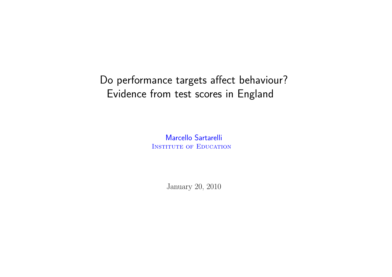Do performance targets affect behaviour? Evidence from test scores in England

> [Marcello Sartarelli](mailto:m.sartarelli@ioe.ac.uk) INSTITUTE OF EDUCATION

> > January 20, 2010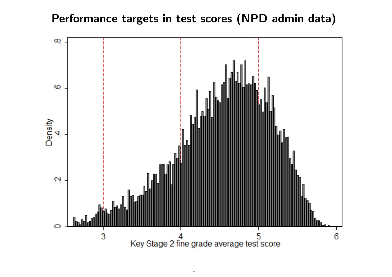#### Performance targets in test scores (NPD admin data)

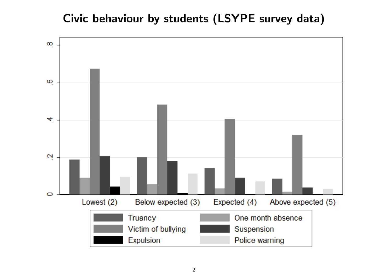## Civic behaviour by students (LSYPE survey data)

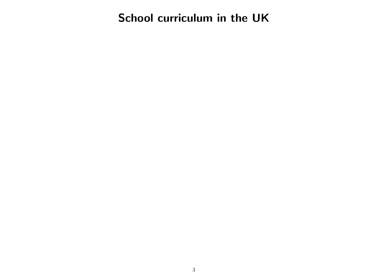School curriculum in the UK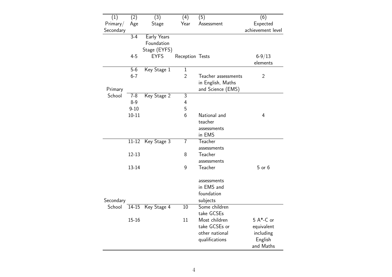| (1)       | (2)       | (3)                | (4)             | (5)                 | (6)               |
|-----------|-----------|--------------------|-----------------|---------------------|-------------------|
| Primary/  | Age       | Stage              | Year            | Assessment          | Expected          |
| Secondary |           |                    |                 |                     | achievement level |
|           | $3 - 4$   | <b>Early Years</b> |                 |                     |                   |
|           |           | Foundation         |                 |                     |                   |
|           |           | Stage (EYFS)       |                 |                     |                   |
|           | $4 - 5$   | <b>EYFS</b>        | Reception Tests |                     | $6 - 9/13$        |
|           |           |                    |                 |                     | elements          |
|           | $5-6$     | Key Stage 1        | $\mathbf{1}$    |                     |                   |
|           | $6 - 7$   |                    | $\overline{2}$  | Teacher assessments | $\overline{2}$    |
|           |           |                    |                 | in English, Maths   |                   |
| Primary   |           |                    |                 | and Science (EMS)   |                   |
| School    | $7 - 8$   | Key Stage 2        | $\overline{3}$  |                     |                   |
|           | $8 - 9$   |                    | 4               |                     |                   |
|           | $9 - 10$  |                    | 5               |                     |                   |
|           | $10 - 11$ |                    | 6               | National and        | 4                 |
|           |           |                    |                 | teacher             |                   |
|           |           |                    |                 | assessments         |                   |
|           |           |                    |                 | in EMS              |                   |
|           | $11 - 12$ | Key Stage 3        | $\overline{7}$  | Teacher             |                   |
|           |           |                    |                 | assessments         |                   |
|           | $12 - 13$ |                    | 8               | Teacher             |                   |
|           |           |                    |                 | assessments         |                   |
|           | 13-14     |                    | 9               | Teacher             | $5$ or $6$        |
|           |           |                    |                 | assessments         |                   |
|           |           |                    |                 | in EMS and          |                   |
|           |           |                    |                 | foundation          |                   |
| Secondary |           |                    |                 | subjects            |                   |
| School    | 14-15     | Key Stage 4        | 10              | Some children       |                   |
|           |           |                    |                 | take GCSEs          |                   |
|           | $15 - 16$ |                    | 11              | Most children       | $5A*-C$ or        |
|           |           |                    |                 | take GCSEs or       | equivalent        |
|           |           |                    |                 | other national      | including         |
|           |           |                    |                 | qualifications      | English           |
|           |           |                    |                 |                     | and Maths         |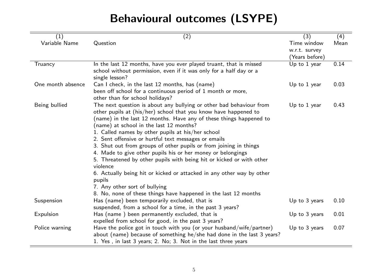# Behavioural outcomes (LSYPE)

| (1)               | (2)                                                                              | $\overline{(3)}$ | (4)  |
|-------------------|----------------------------------------------------------------------------------|------------------|------|
| Variable Name     | Question                                                                         | Time window      | Mean |
|                   |                                                                                  | w.r.t. survey    |      |
|                   |                                                                                  | (Years before)   |      |
| Truancy           | In the last 12 months, have you ever played truant, that is missed               | Up to $1$ year   | 0.14 |
|                   | school without permission, even if it was only for a half day or a               |                  |      |
|                   | single lesson?                                                                   |                  |      |
| One month absence | Can I check, in the last 12 months, has (name)                                   | Up to 1 year     | 0.03 |
|                   | been off school for a continuous period of 1 month or more,                      |                  |      |
|                   | other than for school holidays?                                                  |                  |      |
| Being bullied     | The next question is about any bullying or other bad behaviour from              | Up to $1$ year   | 0.43 |
|                   | other pupils at (his/her) school that you know have happened to                  |                  |      |
|                   | (name) in the last 12 months. Have any of these things happened to               |                  |      |
|                   | (name) at school in the last 12 months?                                          |                  |      |
|                   | 1. Called names by other pupils at his/her school                                |                  |      |
|                   | 2. Sent offensive or hurtful text messages or emails                             |                  |      |
|                   | 3. Shut out from groups of other pupils or from joining in things                |                  |      |
|                   | 4. Made to give other pupils his or her money or belongings                      |                  |      |
|                   | 5. Threatened by other pupils with being hit or kicked or with other<br>violence |                  |      |
|                   | 6. Actually being hit or kicked or attacked in any other way by other            |                  |      |
|                   | pupils                                                                           |                  |      |
|                   | 7. Any other sort of bullying                                                    |                  |      |
|                   | 8. No, none of these things have happened in the last 12 months                  |                  |      |
| Suspension        | Has (name) been temporarily excluded, that is                                    | Up to 3 years    | 0.10 |
|                   | suspended, from a school for a time, in the past 3 years?                        |                  |      |
| Expulsion         | Has (name) been permanently excluded, that is                                    | Up to 3 years    | 0.01 |
|                   | expelled from school for good, in the past 3 years?                              |                  |      |
| Police warning    | Have the police got in touch with you (or your husband/wife/partner)             | Up to 3 years    | 0.07 |
|                   | about (name) because of something he/she had done in the last 3 years?           |                  |      |
|                   | 1. Yes, in last 3 years; 2. No; 3. Not in the last three years                   |                  |      |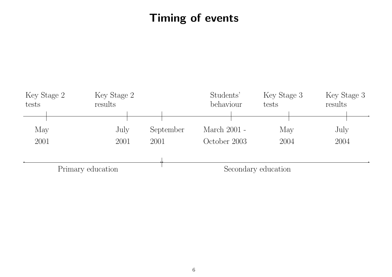## Timing of events

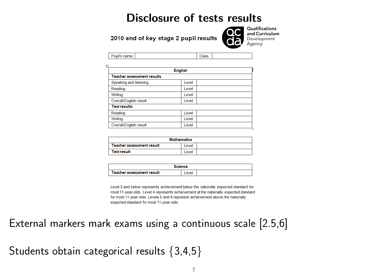## Disclosure of tests results

2010 end of key stage 2 pupil results



Qualifications and Curriculum Development Agency

Pupil's name Class

| 4 |                                   |       |  |  |  |  |  |  |  |  |
|---|-----------------------------------|-------|--|--|--|--|--|--|--|--|
|   | <b>English</b>                    |       |  |  |  |  |  |  |  |  |
|   | <b>Teacher assessment results</b> |       |  |  |  |  |  |  |  |  |
|   | Speaking and listening            | Level |  |  |  |  |  |  |  |  |
|   | Reading                           | Level |  |  |  |  |  |  |  |  |
|   | Writing                           | Level |  |  |  |  |  |  |  |  |
|   | Overall English result            | Level |  |  |  |  |  |  |  |  |
|   | <b>Test results</b>               |       |  |  |  |  |  |  |  |  |
|   | Reading                           | Level |  |  |  |  |  |  |  |  |
|   | Writing                           | Level |  |  |  |  |  |  |  |  |
|   | Overall English result            | Level |  |  |  |  |  |  |  |  |

| <b>Mathematics</b>        |       |  |  |  |  |  |
|---------------------------|-------|--|--|--|--|--|
| Teacher assessment result | Level |  |  |  |  |  |
| <b>Test result</b>        | Level |  |  |  |  |  |

| Science                   |  |  |  |  |  |  |
|---------------------------|--|--|--|--|--|--|
| Teacher assessment result |  |  |  |  |  |  |

Level 3 and below represents achievement below the nationally expected standard for most 11-year-olds. Level 4 represents achievement at the nationally expected standard for most 11-year-olds. Levels 5 and 6 represent achievement above the nationally expected standard for most 11-year-olds

External markers mark exams using a continuous scale [2.5,6]

Students obtain categorical results {3,4,5}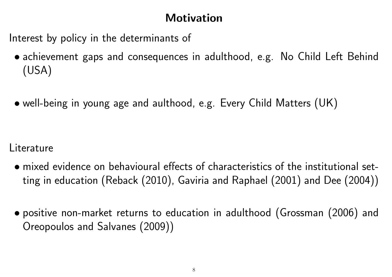# Motivation

Interest by policy in the determinants of

- achievement gaps and consequences in adulthood, e.g. No Child Left Behind (USA)
- well-being in young age and aulthood, e.g. Every Child Matters (UK)

Literature

- mixed evidence on behavioural effects of characteristics of the institutional setting in education [\(Reback](#page-16-0) [\(2010\)](#page-16-0), [Gaviria and Raphael](#page-16-1) [\(2001\)](#page-16-1) and [Dee](#page-16-2) [\(2004\)](#page-16-2))
- positive non-market returns to education in adulthood ([Grossman](#page-16-3) [\(2006\)](#page-16-3) and [Oreopoulos and Salvanes](#page-16-4) [\(2009\)](#page-16-4))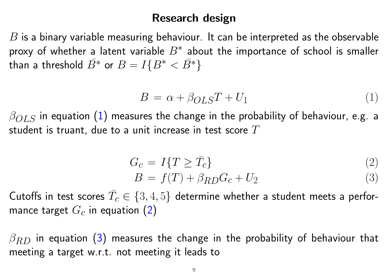#### Research design

 $B$  is a binary variable measuring behaviour. It can be interpreted as the observable proxy of whether a latent variable  $B^*$  about the importance of school is smaller than a threshold  $\bar{B}^*$  or  $B = I\{B^* < \bar{B}^*\}$ 

<span id="page-9-0"></span>
$$
B = \alpha + \beta_{OLS}T + U_1 \tag{1}
$$

 $\beta_{OLS}$  in equation [\(1\)](#page-9-0) measures the change in the probability of behaviour, e.g. a student is truant, due to a unit increase in test score  $T$ 

$$
G_c = I\{T \ge \bar{T}_c\} \tag{2}
$$

<span id="page-9-1"></span>
$$
B = f(T) + \beta_{RD} G_c + U_2 \tag{3}
$$

Cutoffs in test scores  $\bar{T}_c \in \{3,4,5\}$  determine whether a student meets a performance target  $G_c$  in equation [\(2\)](#page-9-1)

 $\beta_{RD}$  in equation [\(3\)](#page-9-1) measures the change in the probability of behaviour that meeting a target w.r.t. not meeting it leads to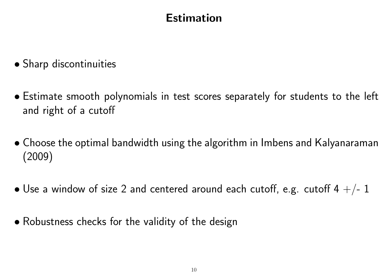## Estimation

- Sharp discontinuities
- Estimate smooth polynomials in test scores separately for students to the left and right of a cutoff
- Choose the optimal bandwidth using the algorithm in [Imbens and Kalyanaraman](#page-16-5) [\(2009\)](#page-16-5)
- Use a window of size 2 and centered around each cutoff, e.g. cutoff  $4 + (-1)$
- Robustness checks for the validity of the design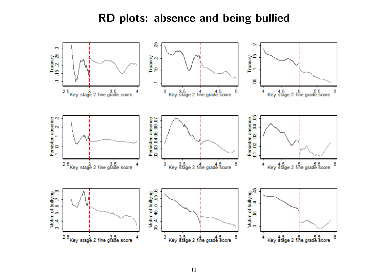#### RD plots: absence and being bullied

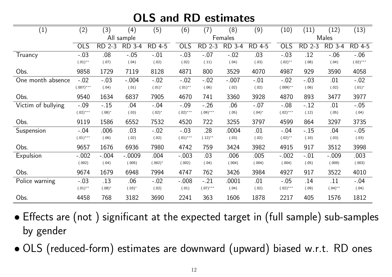| $\left( 1\right)$  | (2)          | (3)       | (4)           | (5)       | (6)         | (7)         | (8)           | (9)      | (10)        | (11)   | $\left(12\right)$ | (13)          |  |
|--------------------|--------------|-----------|---------------|-----------|-------------|-------------|---------------|----------|-------------|--------|-------------------|---------------|--|
|                    | All sample   |           |               |           | Females     |             |               |          |             | Males  |                   |               |  |
|                    | <b>OLS</b>   | RD 2-3    | <b>RD 3-4</b> | RD 4-5    | <b>OLS</b>  | RD 2-3      | <b>RD 3-4</b> | RD 4-5   | <b>OLS</b>  | RD 2-3 | <b>RD 3-4</b>     | <b>RD 4-5</b> |  |
| Truancy            | $-.03$       | .08       | $-.05$        | $-.01$    | $-.03$      | $-.07$      | $-.02$        | .03      | $-.03$      | .12    | $-.06$            | $-.06$        |  |
|                    | $(.01)$ **   | (.07)     | (.04)         | (.02)     | (.02)       | (.11)       | (.04)         | (.03)    | $(.02)$ **  | (.08)  | (.04)             | $(.02)$ ***   |  |
| Obs.               | 9858         | 1729      | 7119          | 8128      | 4871        | 800         | 3529          | 4070     | 4987        | 929    | 3590              | 4058          |  |
| One month absence  | $-.02$       | $-.03$    | $-.004$       | $-.02$    | $-.02$      | $-.02$      | $-.007$       | $-.01$   | $-.02$      | $-.03$ | .01               | $-.02$        |  |
|                    | $(.007)$ *** | (.04)     | (.01)         | $(.01)^*$ | $(.01)$ **  | (.06)       | (.02)         | (.02)    | $(.009)$ ** | (.06)  | (.02)             | $(.01)^*$     |  |
| Obs.               | 9540         | 1634      | 6837          | 7905      | 4670        | 741         | 3360          | 3928     | 4870        | 893    | 3477              | 3977          |  |
| Victim of bullying | $-.09$       | $-.15$    | .04           | $-.04$    | $-.09$      | $-.26$      | .06           | $-.07$   | $-0.08$     | $-.12$ | .01               | $-.05$        |  |
|                    | $(.02)$ ***  | $(.08)*$  | (.03)         | $(.02)*$  | $(.02)$ *** | $(.09)$ *** | (.05)         | $(.04)*$ | $(.02)$ *** | (.12)  | (.05)             | (.04)         |  |
| Obs.               | 9119         | 1586      | 6552          | 7532      | 4520        | 722         | 3255          | 3797     | 4599        | 864    | 3297              | 3735          |  |
| Suspension         | $-.04$       | .006      | .03           | $-.02$    | $-.03$      | .28         | .0004         | .01      | $-.04$      | $-15$  | .04               | $-.05$        |  |
|                    | $(.01)$ ***  | (.06)     | (.02)         | (.02)     | $(.01)$ *** | $(.12)$ **  | (.03)         | (.02)    | $(.02)$ **  | (.10)  | (.03)             | (.03)         |  |
| Obs.               | 9657         | 1676      | 6936          | 7980      | 4742        | 759         | 3424          | 3982     | 4915        | 917    | 3512              | 3998          |  |
| Expulsion          | $-.002$      | $-.004$   | $-.0009$      | .004      | $-.003$     | .03         | .006          | .005     | $-.002$     | $-.01$ | $-.009$           | .003          |  |
|                    | (.002)       | (.04)     | (.005)        | $(.002)*$ | (.002)      | (.04)       | (.004)        | (.004)   | (.004)      | (.05)  | (.009)            | (.003)        |  |
| Obs.               | 9674         | 1679      | 6948          | 7994      | 4747        | 762         | 3426          | 3984     | 4927        | 917    | 3522              | 4010          |  |
| Police warning     | $-.03$       | .13       | .06           | $-.02$    | $-.008$     | $-.21$      | .0001         | .01      | $-.05$      | .14    | .11               | $-.04$        |  |
|                    | $(.01)$ **   | $(.08)^*$ | $(.03)*$      | (.02)     | (.01)       | $(.07)$ *** | (.04)         | (.02)    | $(.02)$ *** | (.09)  | $(.04)$ **        | (.04)         |  |
| Obs.               | 4458         | 768       | 3182          | 3690      | 2241        | 363         | 1606          | 1878     | 2217        | 405    | 1576              | 1812          |  |

OLS and RD estimates

- Effects are (not ) significant at the expected target in (full sample) sub-samples by gender
- OLS (reduced-form) estimates are downward (upward) biased w.r.t. RD ones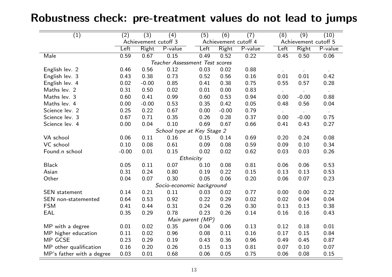| $\overline{(1)}$          | $\overline{(2)}$               | $\overline{(3)}$ | $\overline{(4)}$           | $\overline{(5)}$     | $\overline{(6)}$ | $\overline{(7)}$ | $\overline{(8)}$     | $\overline{(9)}$ | $\overline{(10)}$ |  |  |
|---------------------------|--------------------------------|------------------|----------------------------|----------------------|------------------|------------------|----------------------|------------------|-------------------|--|--|
|                           | Achievement cutoff 3           |                  |                            | Achievement cutoff 4 |                  |                  | Achievement cutoff 5 |                  |                   |  |  |
|                           | Left                           | Right            | P-value                    | Left                 | Right            | P-value          | Left                 | <b>Right</b>     | P-value           |  |  |
| Male                      | 0.59                           | 0.67             | 0.15                       | 0.49                 | 0.52             | 0.22             | 0.45                 | 0.50             | 0.06              |  |  |
|                           | Teacher Assessment Test scores |                  |                            |                      |                  |                  |                      |                  |                   |  |  |
| English lev. 2            | 0.46                           | 0.56             | 0.12                       | 0.03                 | 0.02             | 0.88             |                      |                  |                   |  |  |
| English lev. 3            | 0.43                           | 0.38             | 0.73                       | 0.52                 | 0.56             | 0.16             | 0.01                 | 0.01             | 0.42              |  |  |
| English lev. 4            | 0.02                           | $-0.00$          | 0.85                       | 0.41                 | 0.38             | 0.75             | 0.55                 | 0.57             | 0.28              |  |  |
| Maths lev. 2              | 0.31                           | 0.50             | 0.02                       | 0.01                 | 0.00             | 0.83             | $\sim$               | $\sim$           | $\sim$            |  |  |
| Maths lev. 3              | 0.60                           | 0.41             | 0.99                       | 0.60                 | 0.53             | 0.94             | 0.00                 | $-0.00$          | 0.88              |  |  |
| Maths lev. 4              | 0.00                           | $-0.00$          | 0.53                       | 0.35                 | 0.42             | 0.05             | 0.48                 | 0.56             | 0.04              |  |  |
| Science lev. 2            | 0.25                           | 0.22             | 0.67                       | 0.00                 | $-0.00$          | 0.79             | $\sim$               |                  | $\sim$            |  |  |
| Science lev. 3            | 0.67                           | 0.71             | 0.35                       | 0.26                 | 0.28             | 0.37             | 0.00                 | $-0.00$          | 0.75              |  |  |
| Science lev. 4            | 0.00                           | 0.04             | 0.10                       | 0.69                 | 0.67             | 0.66             | 0.41                 | 0.43             | 0.27              |  |  |
|                           |                                |                  | School type at Key Stage 2 |                      |                  |                  |                      |                  |                   |  |  |
| VA school                 | 0.06                           | 0.11             | 0.16                       | 0.15                 | 0.14             | 0.69             | 0.20                 | 0.24             | 0.08              |  |  |
| VC school                 | 0.10                           | 0.08             | 0.61                       | 0.09                 | 0.08             | 0.59             | 0.09                 | 0.10             | 0.34              |  |  |
| Found.n school            | $-0.00$                        | 0.01             | 0.15                       | 0.02                 | 0.02             | 0.62             | 0.03                 | 0.03             | 0.26              |  |  |
|                           |                                |                  |                            | Ethnicity            |                  |                  |                      |                  |                   |  |  |
| <b>Black</b>              | 0.05                           | 0.11             | 0.07                       | 0.10                 | 0.08             | 0.81             | 0.06                 | 0.06             | 0.53              |  |  |
| Asian                     | 0.31                           | 0.24             | 0.80                       | 0.19                 | 0.22             | 0.15             | 0.13                 | 0.13             | 0.53              |  |  |
| Other                     | 0.04                           | 0.07             | 0.30                       | 0.05                 | 0.06             | 0.20             | 0.06                 | 0.07             | 0.23              |  |  |
|                           |                                |                  | Socio-economic background  |                      |                  |                  |                      |                  |                   |  |  |
| <b>SEN</b> statement      | 0.14                           | 0.21             | 0.11                       | 0.03                 | 0.02             | 0.77             | 0.00                 | 0.00             | 0.22              |  |  |
| SEN non-statemented       | 0.64                           | 0.53             | 0.92                       | 0.22                 | 0.29             | 0.02             | 0.02                 | 0.04             | 0.04              |  |  |
| <b>FSM</b>                | 0.41                           | 0.44             | 0.31                       | 0.24                 | 0.26             | 0.30             | 0.13                 | 0.13             | 0.38              |  |  |
| EAL                       | 0.35                           | 0.29             | 0.78                       | 0.23                 | 0.26             | 0.14             | 0.16                 | 0.16             | 0.43              |  |  |
|                           | Main parent (MP)               |                  |                            |                      |                  |                  |                      |                  |                   |  |  |
| MP with a degree          | 0.01                           | 0.02             | 0.35                       | 0.04                 | 0.06             | 0.13             | 0.12                 | 0.18             | 0.01              |  |  |
| MP higher education       | 0.11                           | 0.02             | 0.96                       | 0.08                 | 0.11             | 0.16             | 0.17                 | 0.15             | 0.84              |  |  |
| MP GCSE                   | 0.23                           | 0.29             | 0.19                       | 0.43                 | 0.36             | 0.96             | 0.49                 | 0.45             | 0.87              |  |  |
| MP other qualification    | 0.16                           | 0.20             | 0.26                       | 0.15                 | 0.13             | 0.81             | 0.07                 | 0.10             | 0.07              |  |  |
| MP's father with a degree | 0.03                           | 0.01             | 0.68                       | 0.06                 | 0.05             | 0.75             | 0.06                 | 0.08             | 0.15              |  |  |

#### Robustness check: pre-treatment values do not lead to jumps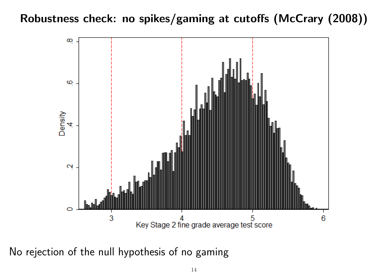## Robustness check: no spikes/gaming at cutoffs [\(McCrary](#page-16-6) [\(2008\)](#page-16-6))



No rejection of the null hypothesis of no gaming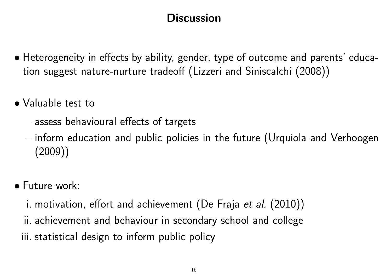# **Discussion**

- Heterogeneity in effects by ability, gender, type of outcome and parents' education suggest nature-nurture tradeoff [\(Lizzeri and Siniscalchi](#page-16-7) [\(2008\)](#page-16-7))
- Valuable test to
	- assess behavioural effects of targets
	- inform education and public policies in the future [\(Urquiola and Verhoogen](#page-16-8) [\(2009\)](#page-16-8))
- Future work:
	- i. motivation, effort and achievement [\(De Fraja](#page-16-9) et al. [\(2010\)](#page-16-9))
	- ii. achievement and behaviour in secondary school and college
	- iii. statistical design to inform public policy